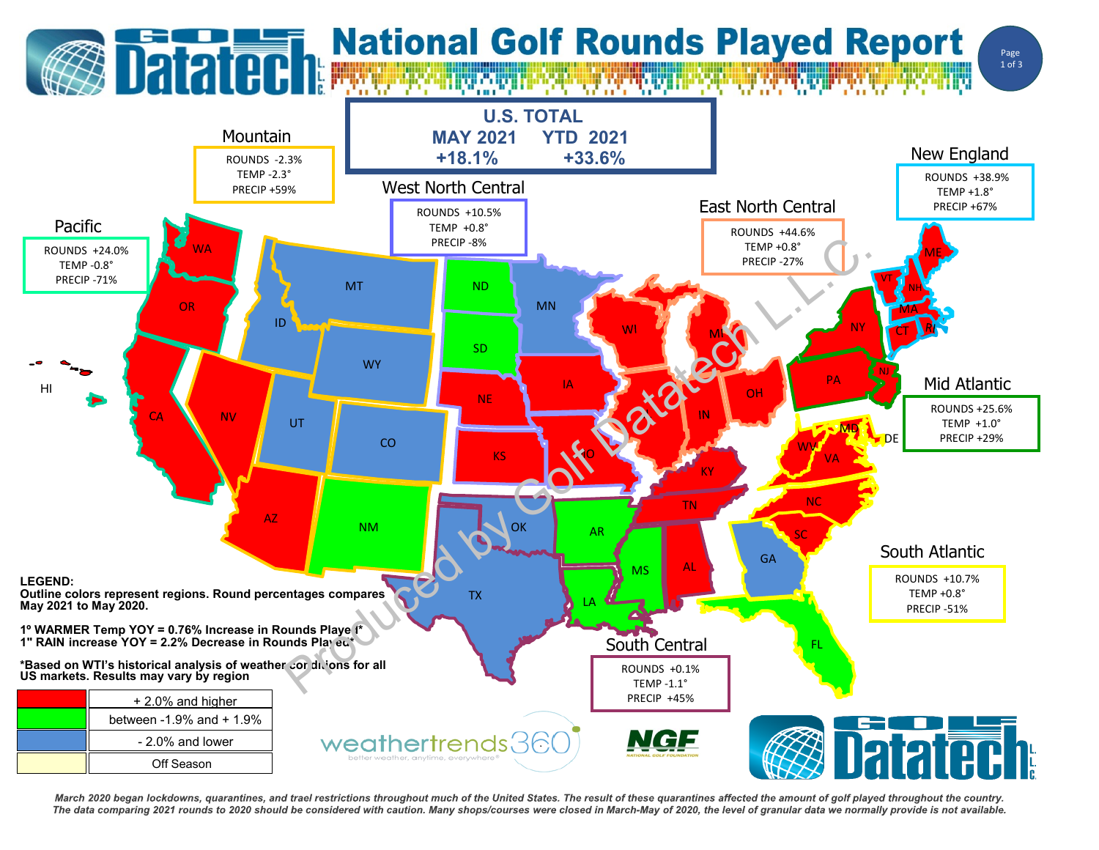## **Datated National Golf Rounds Played Report**





March 2020 began lockdowns, quarantines, and trael restrictions throughout much of the United States. The result of these quarantines affected the amount of golf played throughout the country. The data comparing 2021 rounds to 2020 should be considered with caution. Many shops/courses were closed in March-May of 2020, the level of granular data we normally provide is not available.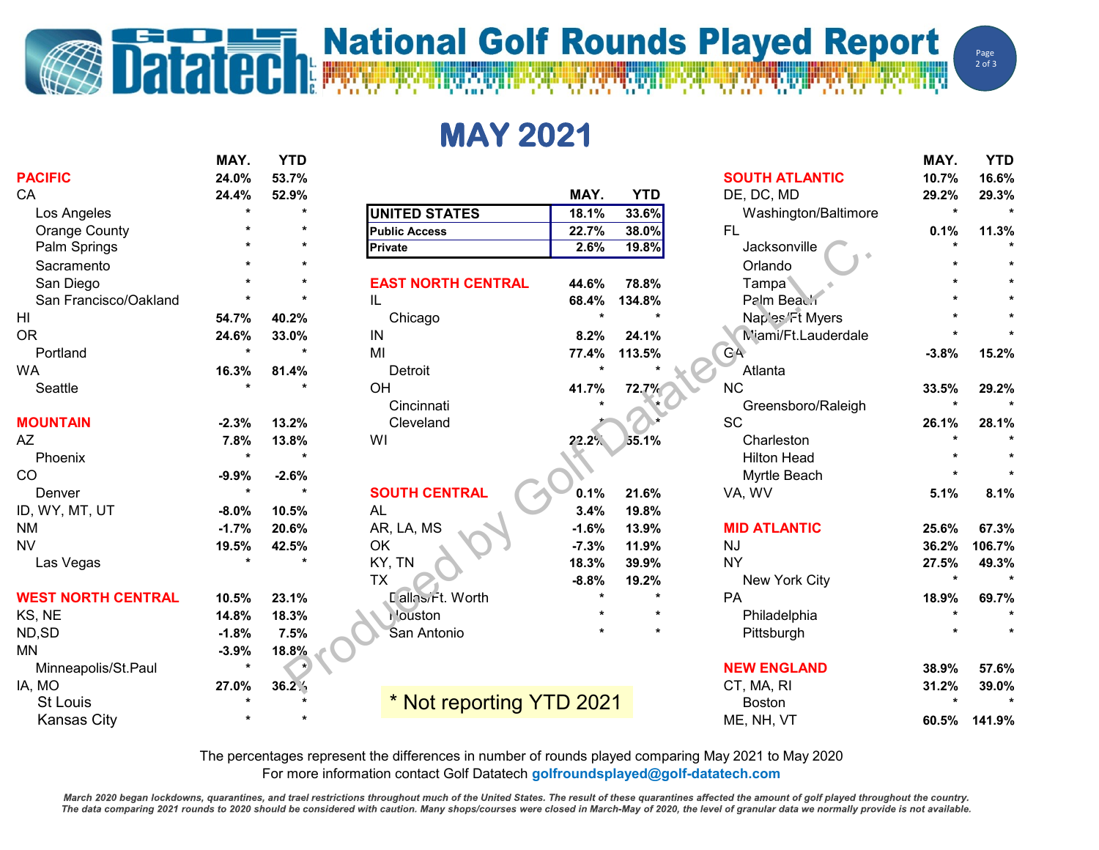## **Datated National Golf Rounds Played Report**

**MAY 2021**

|                           | MAY.    | <b>YTD</b> |                           |         |            |                       | MAY.                 | <b>YTD</b> |
|---------------------------|---------|------------|---------------------------|---------|------------|-----------------------|----------------------|------------|
| <b>PACIFIC</b>            | 24.0%   | 53.7%      |                           |         |            | <b>SOUTH ATLANTIC</b> | 10.7%                | 16.6%      |
| CA                        | 24.4%   | 52.9%      |                           | MAY.    | <b>YTD</b> | DE, DC, MD            | 29.2%                | 29.3%      |
| Los Angeles               |         | $\star$    | <b>UNITED STATES</b>      | 18.1%   | 33.6%      | Washington/Baltimore  | $\star$              |            |
| Orange County             |         |            | <b>Public Access</b>      | 22.7%   | 38.0%      | <b>FL</b>             | 0.1%                 | 11.3%      |
| Palm Springs              |         |            | <b>Private</b>            | 2.6%    | 19.8%      | Jacksonville          |                      |            |
| Sacramento                |         |            |                           |         |            | Orlando               |                      |            |
| San Diego                 |         |            | <b>EAST NORTH CENTRAL</b> | 44.6%   | 78.8%      | Tampa                 |                      |            |
| San Francisco/Oakland     |         |            | IL                        | 68.4%   | 134.8%     | Palm Beach            |                      |            |
| HI                        | 54.7%   | 40.2%      | Chicago                   |         |            | Naples/Ft Myers       |                      |            |
| <b>OR</b>                 | 24.6%   | 33.0%      | IN                        | 8.2%    | 24.1%      | M'iami/Ft.Lauderdale  |                      |            |
| Portland                  |         | $\star$    | MI                        | 77.4%   | 113.5%     | GA                    | $-3.8%$              | 15.2%      |
| WA                        | 16.3%   | 81.4%      | Detroit                   |         |            | Atlanta               |                      |            |
| Seattle                   |         |            | OH                        | 41.7%   | 72.7%      | <b>NC</b>             | 33.5%                | 29.2%      |
|                           |         |            | Cincinnati                |         |            | Greensboro/Raleigh    |                      |            |
| <b>MOUNTAIN</b>           | $-2.3%$ | 13.2%      | Cleveland                 |         |            | <b>SC</b>             | 26.1%                | 28.1%      |
| AZ                        | 7.8%    | 13.8%      | WI                        | 22.2%   | 55.1%      | Charleston            |                      |            |
| Phoenix                   |         |            |                           |         |            | <b>Hilton Head</b>    |                      |            |
| CO                        | $-9.9%$ | $-2.6%$    |                           |         |            | Myrtle Beach          |                      |            |
| Denver                    | $\star$ | $\star$    | <b>SOUTH CENTRAL</b>      | 0.1%    | 21.6%      | VA, WV                | 5.1%                 | 8.1%       |
| ID, WY, MT, UT            | $-8.0%$ | 10.5%      | <b>AL</b>                 | 3.4%    | 19.8%      |                       |                      |            |
| <b>NM</b>                 | $-1.7%$ | 20.6%      | AR, LA, MS                | $-1.6%$ | 13.9%      | <b>MID ATLANTIC</b>   | 25.6%                | 67.3%      |
| <b>NV</b>                 | 19.5%   | 42.5%      | OK                        | $-7.3%$ | 11.9%      | <b>NJ</b>             | 36.2%                | 106.7%     |
| Las Vegas                 |         | $\star$    | KY, TN                    | 18.3%   | 39.9%      | <b>NY</b>             | 27.5%                | 49.3%      |
|                           |         |            | <b>TX</b>                 | $-8.8%$ | 19.2%      | New York City         | $\ddot{\phantom{a}}$ |            |
| <b>WEST NORTH CENTRAL</b> | 10.5%   | 23.1%      | Lallasirt. Worth          |         |            | PA                    | 18.9%                | 69.7%      |
| KS, NE                    | 14.8%   | 18.3%      | douston                   |         |            | Philadelphia          |                      |            |
| ND,SD                     | $-1.8%$ | 7.5%       | San Antonio               |         |            | Pittsburgh            |                      |            |
| MN                        | $-3.9%$ | 18.8%      |                           |         |            |                       |                      |            |
| Minneapolis/St.Paul       |         |            |                           |         |            | <b>NEW ENGLAND</b>    | 38.9%                | 57.6%      |
| IA, MO                    | 27.0%   | 36.2%      |                           |         |            | CT, MA, RI            | 31.2%                | 39.0%      |
| <b>St Louis</b>           |         |            | * Not reporting YTD 2021  |         |            | <b>Boston</b>         |                      |            |
| <b>Kansas City</b>        |         |            |                           |         |            | ME, NH, VT            | 60.5%                | 141.9%     |

The percentages represent the differences in number of rounds played comparing May 2021 to May 2020 For more information contact Golf Datatech **golfroundsplayed@golf-datatech.com** 

March 2020 began lockdowns, quarantines, and trael restrictions throughout much of the United States. The result of these quarantines affected the amount of golf played throughout the country. The data comparing 2021 rounds to 2020 should be considered with caution. Many shops/courses were closed in March-May of 2020, the level of granular data we normally provide is not available.

WW